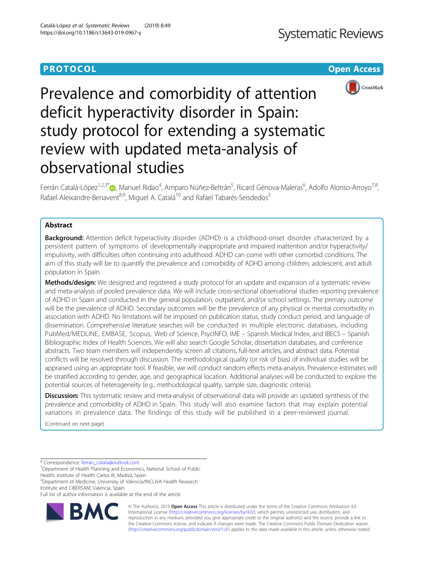# **PROTOCOL CONSUMING THE CONSUMING TEACHER CONSUMING THE CONSUMING TEACHER CONSUMING THE CONSUMING TEACHER CONSUMING**



Prevalence and comorbidity of attention deficit hyperactivity disorder in Spain: study protocol for extending a systematic review with updated meta-analysis of observational studies

Ferrán Catalá-López<sup>1[,](http://orcid.org/0000-0002-3833-9312)2,3\*</sup>®, Manuel Ridao<sup>4</sup>, Amparo Núñez-Beltrán<sup>5</sup>, Ricard Gènova-Maleras<sup>6</sup>, Adolfo Alonso-Arroyo<sup>7,8</sup>, Rafael Aleixandre-Benavent<sup>8,9</sup>, Miguel A. Catalá<sup>10</sup> and Rafael Tabarés-Seisdedos<sup>2</sup>

## Abstract

**Background:** Attention deficit hyperactivity disorder (ADHD) is a childhood-onset disorder characterized by a persistent pattern of symptoms of developmentally inappropriate and impaired inattention and/or hyperactivity/ impulsivity, with difficulties often continuing into adulthood. ADHD can come with other comorbid conditions. The aim of this study will be to quantify the prevalence and comorbidity of ADHD among children, adolescent, and adult population in Spain.

Methods/design: We designed and registered a study protocol for an update and expansion of a systematic review and meta-analysis of pooled prevalence data. We will include cross-sectional observational studies reporting prevalence of ADHD in Spain and conducted in the general population, outpatient, and/or school settings. The primary outcome will be the prevalence of ADHD. Secondary outcomes will be the prevalence of any physical or mental comorbidity in association with ADHD. No limitations will be imposed on publication status, study conduct period, and language of dissemination. Comprehensive literature searches will be conducted in multiple electronic databases, including PubMed/MEDLINE, EMBASE, Scopus, Web of Science, PsycINFO, IME – Spanish Medical Index, and IBECS – Spanish Bibliographic Index of Health Sciences. We will also search Google Scholar, dissertation databases, and conference abstracts. Two team members will independently screen all citations, full-text articles, and abstract data. Potential conflicts will be resolved through discussion. The methodological quality (or risk of bias) of individual studies will be appraised using an appropriate tool. If feasible, we will conduct random effects meta-analysis. Prevalence estimates will be stratified according to gender, age, and geographical location. Additional analyses will be conducted to explore the potential sources of heterogeneity (e.g., methodological quality, sample size, diagnostic criteria).

Discussion: This systematic review and meta-analysis of observational data will provide an updated synthesis of the prevalence and comorbidity of ADHD in Spain. This study will also examine factors that may explain potential variations in prevalence data. The findings of this study will be published in a peer-reviewed journal.

(Continued on next page)

\* Correspondence: [ferran\\_catala@outlook.com](mailto:ferran_catala@outlook.com) <sup>1</sup>

<sup>1</sup>Department of Health Planning and Economics, National School of Public

Health, Institute of Health Carlos III, Madrid, Spain

<sup>2</sup> Department of Medicine, University of Valencia/INCLIVA Health Research Institute and CIBERSAM, Valencia, Spain

Full list of author information is available at the end of the article



© The Author(s). 2019 **Open Access** This article is distributed under the terms of the Creative Commons Attribution 4.0 International License [\(http://creativecommons.org/licenses/by/4.0/](http://creativecommons.org/licenses/by/4.0/)), which permits unrestricted use, distribution, and reproduction in any medium, provided you give appropriate credit to the original author(s) and the source, provide a link to the Creative Commons license, and indicate if changes were made. The Creative Commons Public Domain Dedication waiver [\(http://creativecommons.org/publicdomain/zero/1.0/](http://creativecommons.org/publicdomain/zero/1.0/)) applies to the data made available in this article, unless otherwise stated.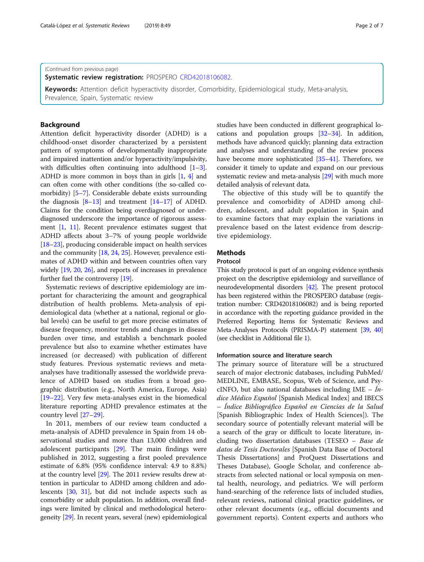(Continued from previous page)

Systematic review registration: PROSPERO [CRD42018106082](http://www.crd.york.ac.uk/PROSPERO/display_record.php?ID=CRD42018106082).

Keywords: Attention deficit hyperactivity disorder, Comorbidity, Epidemiological study, Meta-analysis, Prevalence, Spain, Systematic review

## Background

Attention deficit hyperactivity disorder (ADHD) is a childhood-onset disorder characterized by a persistent pattern of symptoms of developmentally inappropriate and impaired inattention and/or hyperactivity/impulsivity, with difficulties often continuing into adulthood  $[1-3]$  $[1-3]$  $[1-3]$  $[1-3]$  $[1-3]$ . ADHD is more common in boys than in girls [\[1](#page-5-0), [4\]](#page-5-0) and can often come with other conditions (the so-called comorbidity) [[5](#page-5-0)–[7](#page-5-0)]. Considerable debate exists surrounding the diagnosis [\[8](#page-5-0)–[13](#page-5-0)] and treatment [\[14](#page-5-0)–[17](#page-5-0)] of ADHD. Claims for the condition being overdiagnosed or underdiagnosed underscore the importance of rigorous assessment [[1,](#page-5-0) [11](#page-5-0)]. Recent prevalence estimates suggest that ADHD affects about 3–7% of young people worldwide [[18](#page-5-0)–[23\]](#page-5-0), producing considerable impact on health services and the community [[18](#page-5-0), [24,](#page-5-0) [25](#page-5-0)]. However, prevalence estimates of ADHD within and between countries often vary widely [\[19](#page-5-0), [20](#page-5-0), [26](#page-5-0)], and reports of increases in prevalence further fuel the controversy [\[19\]](#page-5-0).

Systematic reviews of descriptive epidemiology are important for characterizing the amount and geographical distribution of health problems. Meta-analysis of epidemiological data (whether at a national, regional or global levels) can be useful to get more precise estimates of disease frequency, monitor trends and changes in disease burden over time, and establish a benchmark pooled prevalence but also to examine whether estimates have increased (or decreased) with publication of different study features. Previous systematic reviews and metaanalyses have traditionally assessed the worldwide prevalence of ADHD based on studies from a broad geographic distribution (e.g., North America, Europe, Asia) [[19](#page-5-0)–[22](#page-5-0)]. Very few meta-analyses exist in the biomedical literature reporting ADHD prevalence estimates at the country level [[27](#page-5-0)–[29](#page-5-0)].

In 2011, members of our review team conducted a meta-analysis of ADHD prevalence in Spain from 14 observational studies and more than 13,000 children and adolescent participants [[29\]](#page-5-0). The main findings were published in 2012, suggesting a first pooled prevalence estimate of 6.8% (95% confidence interval: 4.9 to 8.8%) at the country level [\[29](#page-5-0)]. The 2011 review results drew attention in particular to ADHD among children and adolescents [\[30](#page-5-0), [31](#page-5-0)], but did not include aspects such as comorbidity or adult population. In addition, overall findings were limited by clinical and methodological heterogeneity [[29\]](#page-5-0). In recent years, several (new) epidemiological studies have been conducted in different geographical locations and population groups [\[32](#page-5-0)–[34](#page-5-0)]. In addition, methods have advanced quickly; planning data extraction and analyses and understanding of the review process have become more sophisticated [\[35](#page-6-0)–[41](#page-6-0)]. Therefore, we consider it timely to update and expand on our previous systematic review and meta-analysis [[29](#page-5-0)] with much more detailed analysis of relevant data.

The objective of this study will be to quantify the prevalence and comorbidity of ADHD among children, adolescent, and adult population in Spain and to examine factors that may explain the variations in prevalence based on the latest evidence from descriptive epidemiology.

## **Methods**

## Protocol

This study protocol is part of an ongoing evidence synthesis project on the descriptive epidemiology and surveillance of neurodevelopmental disorders [\[42](#page-6-0)]. The present protocol has been registered within the PROSPERO database (registration number: CRD42018106082) and is being reported in accordance with the reporting guidance provided in the Preferred Reporting Items for Systematic Reviews and Meta-Analyses Protocols (PRISMA-P) statement [[39](#page-6-0), [40](#page-6-0)] (see checklist in Additional file [1](#page-4-0)).

## Information source and literature search

The primary source of literature will be a structured search of major electronic databases, including PubMed/ MEDLINE, EMBASE, Scopus, Web of Science, and PsycINFO, but also national databases including IME –  $\hat{I}n$ dice Médico Español [Spanish Medical Index] and IBECS – Índice Bibliográfico Español en Ciencias de la Salud [Spanish Bibliographic Index of Health Sciences]). The secondary source of potentially relevant material will be a search of the gray or difficult to locate literature, including two dissertation databases (TESEO – Base de datos de Tesis Doctorales [Spanish Data Base of Doctoral Thesis Dissertations] and ProQuest Dissertations and Theses Database), Google Scholar, and conference abstracts from selected national or local symposia on mental health, neurology, and pediatrics. We will perform hand-searching of the reference lists of included studies, relevant reviews, national clinical practice guidelines, or other relevant documents (e.g., official documents and government reports). Content experts and authors who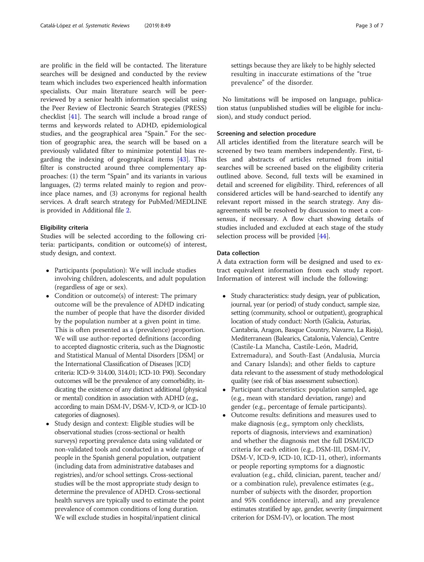are prolific in the field will be contacted. The literature searches will be designed and conducted by the review team which includes two experienced health information specialists. Our main literature search will be peerreviewed by a senior health information specialist using the Peer Review of Electronic Search Strategies (PRESS) checklist [\[41](#page-6-0)]. The search will include a broad range of terms and keywords related to ADHD, epidemiological studies, and the geographical area "Spain." For the section of geographic area, the search will be based on a previously validated filter to minimize potential bias regarding the indexing of geographical items [[43\]](#page-6-0). This filter is constructed around three complementary approaches: (1) the term "Spain" and its variants in various languages, (2) terms related mainly to region and province place names, and (3) acronyms for regional health services. A draft search strategy for PubMed/MEDLINE is provided in Additional file [2](#page-4-0).

## Eligibility criteria

Studies will be selected according to the following criteria: participants, condition or outcome(s) of interest, study design, and context.

- Participants (population): We will include studies involving children, adolescents, and adult population (regardless of age or sex).
- Condition or outcome(s) of interest: The primary outcome will be the prevalence of ADHD indicating the number of people that have the disorder divided by the population number at a given point in time. This is often presented as a (prevalence) proportion. We will use author-reported definitions (according to accepted diagnostic criteria, such as the Diagnostic and Statistical Manual of Mental Disorders [DSM] or the International Classification of Diseases [ICD] criteria: ICD-9: 314.00, 314.01; ICD-10: F90). Secondary outcomes will be the prevalence of any comorbidity, indicating the existence of any distinct additional (physical or mental) condition in association with ADHD (e.g., according to main DSM-IV, DSM-V, ICD-9, or ICD-10 categories of diagnoses).
- Study design and context: Eligible studies will be observational studies (cross-sectional or health surveys) reporting prevalence data using validated or non-validated tools and conducted in a wide range of people in the Spanish general population, outpatient (including data from administrative databases and registries), and/or school settings. Cross-sectional studies will be the most appropriate study design to determine the prevalence of ADHD. Cross-sectional health surveys are typically used to estimate the point prevalence of common conditions of long duration. We will exclude studies in hospital/inpatient clinical

settings because they are likely to be highly selected resulting in inaccurate estimations of the "true prevalence" of the disorder.

No limitations will be imposed on language, publication status (unpublished studies will be eligible for inclusion), and study conduct period.

## Screening and selection procedure

All articles identified from the literature search will be screened by two team members independently. First, titles and abstracts of articles returned from initial searches will be screened based on the eligibility criteria outlined above. Second, full texts will be examined in detail and screened for eligibility. Third, references of all considered articles will be hand-searched to identify any relevant report missed in the search strategy. Any disagreements will be resolved by discussion to meet a consensus, if necessary. A flow chart showing details of studies included and excluded at each stage of the study selection process will be provided [[44\]](#page-6-0).

## Data collection

A data extraction form will be designed and used to extract equivalent information from each study report. Information of interest will include the following:

- Study characteristics: study design, year of publication, journal, year (or period) of study conduct, sample size, setting (community, school or outpatient), geographical location of study conduct: North (Galicia, Asturias, Cantabria, Aragon, Basque Country, Navarre, La Rioja), Mediterranean (Balearics, Catalonia, Valencia), Centre (Castile-La Mancha, Castile-León, Madrid, Extremadura), and South-East (Andalusia, Murcia and Canary Islands); and other fields to capture data relevant to the assessment of study methodological quality (see risk of bias assessment subsection).
- Participant characteristics: population sampled, age (e.g., mean with standard deviation, range) and gender (e.g., percentage of female participants).
- Outcome results: definitions and measures used to make diagnosis (e.g., symptom only checklists, reports of diagnosis, interviews and examination) and whether the diagnosis met the full DSM/ICD criteria for each edition (e.g., DSM-III, DSM-IV, DSM-V, ICD-9, ICD-10, ICD-11, other), informants or people reporting symptoms for a diagnostic evaluation (e.g., child, clinician, parent, teacher and/ or a combination rule), prevalence estimates (e.g., number of subjects with the disorder, proportion and 95% confidence interval), and any prevalence estimates stratified by age, gender, severity (impairment criterion for DSM-IV), or location. The most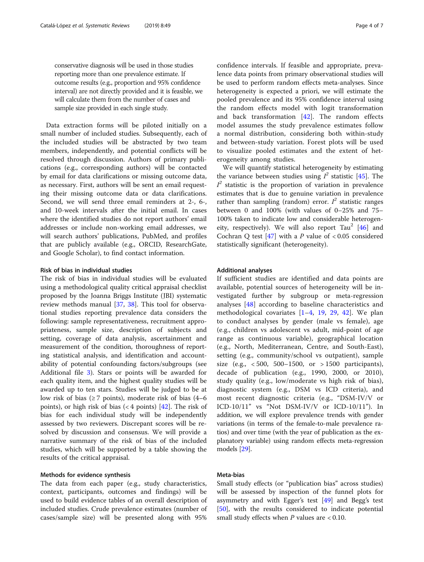conservative diagnosis will be used in those studies reporting more than one prevalence estimate. If outcome results (e.g., proportion and 95% confidence interval) are not directly provided and it is feasible, we will calculate them from the number of cases and sample size provided in each single study.

Data extraction forms will be piloted initially on a small number of included studies. Subsequently, each of the included studies will be abstracted by two team members, independently, and potential conflicts will be resolved through discussion. Authors of primary publications (e.g., corresponding authors) will be contacted by email for data clarifications or missing outcome data, as necessary. First, authors will be sent an email requesting their missing outcome data or data clarifications. Second, we will send three email reminders at 2-, 6-, and 10-week intervals after the initial email. In cases where the identified studies do not report authors' email addresses or include non-working email addresses, we will search authors' publications, PubMed, and profiles that are publicly available (e.g., ORCID, ResearchGate, and Google Scholar), to find contact information.

## Risk of bias in individual studies

The risk of bias in individual studies will be evaluated using a methodological quality critical appraisal checklist proposed by the Joanna Briggs Institute (JBI) systematic review methods manual [\[37](#page-6-0), [38](#page-6-0)]. This tool for observational studies reporting prevalence data considers the following: sample representativeness, recruitment appropriateness, sample size, description of subjects and setting, coverage of data analysis, ascertainment and measurement of the condition, thoroughness of reporting statistical analysis, and identification and accountability of potential confounding factors/subgroups (see Additional file [3\)](#page-4-0). Stars or points will be awarded for each quality item, and the highest quality studies will be awarded up to ten stars. Studies will be judged to be at low risk of bias ( $\geq 7$  points), moderate risk of bias (4–6 points), or high risk of bias (< 4 points) [\[42](#page-6-0)]. The risk of bias for each individual study will be independently assessed by two reviewers. Discrepant scores will be resolved by discussion and consensus. We will provide a narrative summary of the risk of bias of the included studies, which will be supported by a table showing the results of the critical appraisal.

## Methods for evidence synthesis

The data from each paper (e.g., study characteristics, context, participants, outcomes and findings) will be used to build evidence tables of an overall description of included studies. Crude prevalence estimates (number of cases/sample size) will be presented along with 95% confidence intervals. If feasible and appropriate, prevalence data points from primary observational studies will be used to perform random effects meta-analyses. Since heterogeneity is expected a priori, we will estimate the pooled prevalence and its 95% confidence interval using the random effects model with logit transformation and back transformation [[42](#page-6-0)]. The random effects model assumes the study prevalence estimates follow a normal distribution, considering both within-study and between-study variation. Forest plots will be used to visualize pooled estimates and the extent of heterogeneity among studies.

We will quantify statistical heterogeneity by estimating the variance between studies using  $I^2$  statistic [\[45](#page-6-0)]. The  $I^2$  statistic is the proportion of variation in prevalence estimates that is due to genuine variation in prevalence rather than sampling (random) error.  $I^2$  statistic ranges between 0 and 100% (with values of 0–25% and 75– 100% taken to indicate low and considerable heterogen-eity, respectively). We will also report Tau<sup>2</sup> [\[46\]](#page-6-0) and Cochran Q test  $[47]$  $[47]$  $[47]$  with a P value of < 0.05 considered statistically significant (heterogeneity).

## Additional analyses

If sufficient studies are identified and data points are available, potential sources of heterogeneity will be investigated further by subgroup or meta-regression analyses [\[48](#page-6-0)] according to baseline characteristics and methodological covariates [\[1](#page-5-0)–[4](#page-5-0), [19](#page-5-0), [29,](#page-5-0) [42\]](#page-6-0). We plan to conduct analyses by gender (male vs female), age (e.g., children vs adolescent vs adult, mid-point of age range as continuous variable), geographical location (e.g., North, Mediterranean, Centre, and South-East), setting (e.g., community/school vs outpatient), sample size (e.g., < 500, 500–1500, or > 1500 participants), decade of publication (e.g., 1990, 2000, or 2010), study quality (e.g., low/moderate vs high risk of bias), diagnostic system (e.g., DSM vs ICD criteria), and most recent diagnostic criteria (e.g., "DSM-IV/V or ICD-10/11" vs "Not DSM-IV/V or ICD-10/11"). In addition, we will explore prevalence trends with gender variations (in terms of the female-to-male prevalence ratios) and over time (with the year of publication as the explanatory variable) using random effects meta-regression models [\[29\]](#page-5-0).

## Meta-bias

Small study effects (or "publication bias" across studies) will be assessed by inspection of the funnel plots for asymmetry and with Egger's test [\[49\]](#page-6-0) and Begg's test [[50\]](#page-6-0), with the results considered to indicate potential small study effects when  $P$  values are  $< 0.10$ .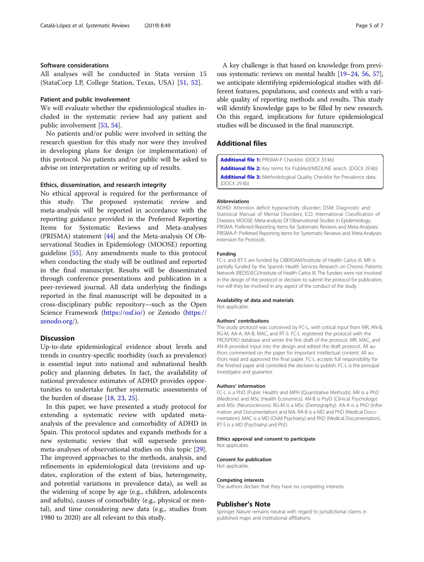## <span id="page-4-0"></span>Software considerations

All analyses will be conducted in Stata version 15 (StataCorp LP, College Station, Texas, USA) [\[51](#page-6-0), [52\]](#page-6-0).

## Patient and public involvement

We will evaluate whether the epidemiological studies included in the systematic review had any patient and public involvement [\[53,](#page-6-0) [54\]](#page-6-0).

No patients and/or public were involved in setting the research question for this study nor were they involved in developing plans for design (or implementation) of this protocol. No patients and/or public will be asked to advise on interpretation or writing up of results.

## Ethics, dissemination, and research integrity

No ethical approval is required for the performance of this study. The proposed systematic review and meta-analysis will be reported in accordance with the reporting guidance provided in the Preferred Reporting Items for Systematic Reviews and Meta-analyses (PRISMA) statement [\[44](#page-6-0)] and the Meta-analysis Of Observational Studies in Epidemiology (MOOSE) reporting guideline [\[55](#page-6-0)]. Any amendments made to this protocol when conducting the study will be outlined and reported in the final manuscript. Results will be disseminated through conference presentations and publication in a peer-reviewed journal. All data underlying the findings reported in the final manuscript will be deposited in a cross-disciplinary public repository—such as the Open Science Framework ([https://osf.io/\)](https://osf.io/) or Zenodo ([https://](https://zenodo.org/) [zenodo.org/](https://zenodo.org/)).

## **Discussion**

Up-to-date epidemiological evidence about levels and trends in country-specific morbidity (such as prevalence) is essential input into national and subnational health policy and planning debates. In fact, the availability of national prevalence estimates of ADHD provides opportunities to undertake further systematic assessments of the burden of disease [\[18](#page-5-0), [23,](#page-5-0) [25\]](#page-5-0).

In this paper, we have presented a study protocol for extending a systematic review with updated metaanalysis of the prevalence and comorbidity of ADHD in Spain. This protocol updates and expands methods for a new systematic review that will supersede previous meta-analyses of observational studies on this topic [\[29](#page-5-0)]. The improved approaches to the methods, analysis, and refinements in epidemiological data (revisions and updates, exploration of the extent of bias, heterogeneity, and potential variations in prevalence data), as well as the widening of scope by age (e.g., children, adolescents and adults), causes of comorbidity (e.g., physical or mental), and time considering new data (e.g., studies from 1980 to 2020) are all relevant to this study.

A key challenge is that based on knowledge from previous systematic reviews on mental health [\[19](#page-5-0)–[24,](#page-5-0) [56,](#page-6-0) [57](#page-6-0)], we anticipate identifying epidemiological studies with different features, populations, and contexts and with a variable quality of reporting methods and results. This study will identify knowledge gaps to be filled by new research. On this regard, implications for future epidemiological studies will be discussed in the final manuscript.

## Additional files

[Additional file 1:](https://doi.org/10.1186/s13643-019-0967-y) PRISMA-P Checklist. (DOCX 33 kb)

[Additional file 2:](https://doi.org/10.1186/s13643-019-0967-y) Key terms for PubMed/MEDLINE search. (DOCX 29 kb) [Additional file 3:](https://doi.org/10.1186/s13643-019-0967-y) Methodological Quality Checklist for Prevalence data. (DOCX 29 kb)

### **Abbreviations**

ADHD: Attention deficit hyperactivity disorder; DSM: Diagnostic and Statistical Manual of Mental Disorders; ICD: International Classification of Diseases; MOOSE: Meta-analysis Of Observational Studies in Epidemiology; PRISMA: Preferred Reporting Items for Systematic Reviews and Meta-Analyses; PRISMA-P: Preferred Reporting Items for Systematic Reviews and Meta-Analyses extension for Protocols

## Funding

FC-L and RT-S are funded by CIBERSAM/Institute of Health Carlos III. MR is partially funded by the Spanish Health Services Research on Chronic Patients Network (REDISSEC)/Institute of Health Carlos III. The funders were not involved in the design of the protocol or decision to submit the protocol for publication. nor will they be involved in any aspect of the conduct of the study.

### Availability of data and materials

Not applicable.

#### Authors' contributions

The study protocol was conceived by FC-L, with critical input from MR, AN-B, RG-M, AA-A, RA-B, MAC, and RT-S. FC-L registered the protocol with the PROSPERO database and wrote the first draft of the protocol. MR, MAC, and AN-B provided input into the design and edited the draft protocol. All authors commented on the paper for important intellectual content. All authors read and approved the final paper. FC-L accepts full responsibility for the finished paper and controlled the decision to publish. FC-L is the principal investigator and guarantor.

#### Authors' information

FC-L is a PhD (Public Health) and MPH (Quantitative Methods). MR is a PhD (Medicine) and MSc (Health Economics). AN-B is PsyD (Clinical Psychology) and MSc (Neurosciences). RG-M is a MSc (Demography). AA-A is a PhD (Information and Documentation) and MA. RA-B is a MD and PhD (Medical Documentation). MAC is a MD (Child Psychiatry) and PhD (Medical Documentation). RT-S is a MD (Psychiatry) and PhD.

#### Ethics approval and consent to participate

Not applicable.

Consent for publication Not applicable.

Competing interests The authors declare that they have no competing interests.

## Publisher's Note

Springer Nature remains neutral with regard to jurisdictional claims in published maps and institutional affiliations.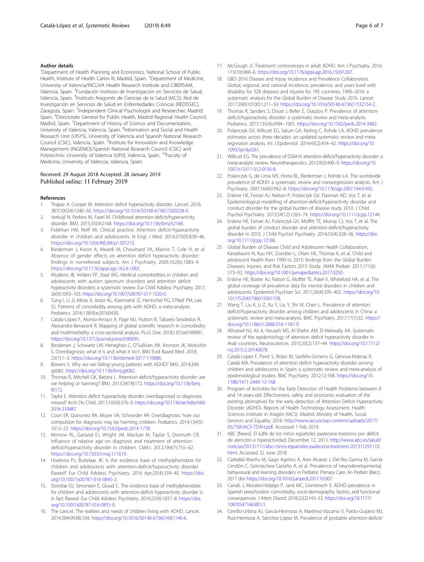## <span id="page-5-0"></span>Author details

<sup>1</sup>Department of Health Planning and Economics, National School of Public Health, Institute of Health Carlos III, Madrid, Spain. <sup>2</sup>Department of Medicine, University of Valencia/INCLIVA Health Research Institute and CIBERSAM, Valencia, Spain. <sup>3</sup>Fundación Instituto de Investigación en Servicios de Salud, Valencia, Spain. <sup>4</sup>Instituto Aragonés de Ciencias de la Salud (IACS), Red de Investigación en Servicios de Salud en Enfermedades Crónicas (REDISSEC), Zaragoza, Spain. <sup>5</sup>Independent Clinical Psychologist and Researcher, Madrid, Spain. <sup>6</sup>Directorate General for Public Health, Madrid Regional Health Council, Madrid, Spain. <sup>7</sup>Department of History of Science and Documentation, University of Valencia, Valencia, Spain. <sup>8</sup>Information and Social and Health Research Unit (UISYS), University of Valencia and Spanish National Research Council (CSIC), Valencia, Spain. <sup>9</sup>Institute for Innovation and Knowledge Management (INGENIO)/Spanish National Research Council (CSIC) and Polytechnic University of Valencia (UPV), Valencia, Spain. <sup>10</sup>Faculty of Medicine, University of Valencia, Valencia, Spain.

## Received: 29 August 2018 Accepted: 28 January 2019 Published online: 11 February 2019

#### References

- 1. Thapar A, Cooper M. Attention deficit hyperactivity disorder. Lancet. 2016; 387(10024):1240–50. [https://doi.org/10.1016/S0140-6736\(15\)00238-X.](https://doi.org/10.1016/S0140-6736(15)00238-X)
- 2. Verkuijl N, Perkins M, Fazel M. Childhood attention-deficit/hyperactivity disorder. BMJ. 2015;350:h2168. [https://doi.org/10.1136/bmj.h2168.](https://doi.org/10.1136/bmj.h2168)
- 3. Feldman HM, Reiff MI. Clinical practice. Attention deficit-hyperactivity disorder in children and adolescents. N Engl J Med. 2014;370(9):838–46. [https://doi.org/10.1056/NEJMcp1307215.](https://doi.org/10.1056/NEJMcp1307215)
- 4. Biederman J, Kwon A, Aleardi M, Chouinard VA, Marino T, Cole H, et al. Absence of gender effects on attention deficit hyperactivity disorder: findings in nonreferred subjects. Am J Psychiatry. 2005;162(6):1083–9. [https://doi.org/10.1176/appi.ajp.162.6.1083.](https://doi.org/10.1176/appi.ajp.162.6.1083)
- 5. Muskens JB, Velders FP, Staal WG. Medical comorbidities in children and adolescents with autism spectrum disorders and attention deficit hyperactivity disorders: a systematic review. Eur Child Adolesc Psychiatry. 2017; 26(9):1093–103. [https://doi.org/10.1007/s00787-017-1020-0.](https://doi.org/10.1007/s00787-017-1020-0)
- 6. Tung I, Li JJ, Meza JI, Jezior KL, Kianmahd JS, Hentschel PG, O'Neil PM, Lee SS. Patterns of comorbidity among girls with ADHD: a meta-analysis. Pediatrics. 2016;138(4):e20160430.
- 7. Catalá-López F, Alonso-Arroyo A, Page MJ, Hutton B, Tabarés-Seisdedos R, Aleixandre-Benavent R. Mapping of global scientific research in comorbidity and multimorbidity: a cross-sectional analysis. PLoS One. 2018;13(1):e0189091. [https://doi.org/10.1371/journal.pone.0189091.](https://doi.org/10.1371/journal.pone.0189091)
- 8. Brodersen J, Schwartz LM, Heneghan C, O'Sullivan JW, Aronson JK, Woloshin S. Overdiagnosis: what it is and what it isn't. BMJ Evid Based Med. 2018; 23(1):1–3. <https://doi.org/10.1136/ebmed-2017-110886>.
- Bowers S. Why are we failing young patients with ADHD? BMJ. 2014;349: g6082. [https://doi.org/10.1136/bmj.g6082.](https://doi.org/10.1136/bmj.g6082)
- 10. Thomas R, Mitchell GK, Batstra L. Attention-deficit/hyperactivity disorder: are we helping or harming? BMJ. 2013;347:f6172. [https://doi.org/10.1136/bmj.](https://doi.org/10.1136/bmj.f6172) [f6172](https://doi.org/10.1136/bmj.f6172).
- 11. Taylor E. Attention deficit hyperactivity disorder: overdiagnosed or diagnoses missed? Arch Dis Child. 2017;102(4):376–9. [https://doi.org/10.1136/archdischild-](https://doi.org/10.1136/archdischild-2016-310487)[2016-310487.](https://doi.org/10.1136/archdischild-2016-310487)
- 12. Coon ER, Quinonez RA, Moyer VA, Schroeder AR. Overdiagnosis: how our compulsion for diagnosis may be harming children. Pediatrics. 2014;134(5): 1013–23. [https://doi.org/10.1542/peds.2014-1778.](https://doi.org/10.1542/peds.2014-1778)
- 13. Morrow RL, Garland EJ, Wright JM, Maclure M, Taylor S, Dormuth CR. Influence of relative age on diagnosis and treatment of attentiondeficit/hyperactivity disorder in children. CMAJ. 2012;184(7):755–62. <https://doi.org/10.1503/cmaj.111619>.
- 14. Hoekstra PJ, Buitelaar JK. Is the evidence base of methylphenidate for children and adolescents with attention-deficit/hyperactivity disorder flawed? Eur Child Adolesc Psychiatry. 2016 Apr;25(4):339–40. [https://doi.](https://doi.org/10.1007/s00787-016-0845-2) [org/10.1007/s00787-016-0845-2.](https://doi.org/10.1007/s00787-016-0845-2)
- 15. Storebø OJ, Simonsen E, Gluud C. The evidence base of methylphenidate for children and adolescents with attention-deficit hyperactivity disorder is in fact flawed. Eur Child Adolesc Psychiatry. 2016;25(9):1037–8. [https://doi.](https://doi.org/10.1007/s00787-016-0855-0) [org/10.1007/s00787-016-0855-0](https://doi.org/10.1007/s00787-016-0855-0).
- 16. The Lancet. The realities and needs of children living with ADHD. Lancet. 2014;384(9938):104. [https://doi.org/10.1016/S0140-6736\(14\)61146-6.](https://doi.org/10.1016/S0140-6736(14)61146-6)
- 17. McGough JJ. Treatment controversies in adult ADHD. Am J Psychiatry. 2016;
- 173(10):960–6. [https://doi.org/10.1176/appi.ajp.2016.15091207.](https://doi.org/10.1176/appi.ajp.2016.15091207) 18. GBD 2016 Disease and Injury Incidence and Prevalence Collaborators. Global, regional, and national incidence, prevalence, and years lived with disability for 328 diseases and injuries for 195 countries, 1990–2016: a systematic analysis for the Global Burden of Disease Study 2016. Lancet. 2017;390(10100):1211–59. [https://doi.org/10.1016/S0140-6736\(17\)32154-2](https://doi.org/10.1016/S0140-6736(17)32154-2).
- 19. Thomas R, Sanders S, Doust J, Beller E, Glasziou P. Prevalence of attentiondeficit/hyperactivity disorder: a systematic review and meta-analysis. Pediatrics. 2015;135(4):e994–1001. <https://doi.org/10.1542/peds.2014-3482>.
- 20. Polanczyk GV, Willcutt EG, Salum GA, Kieling C, Rohde LA. ADHD prevalence estimates across three decades: an updated systematic review and metaregression analysis. Int J Epidemiol. 2014;43(2):434–42. [https://doi.org/10.](https://doi.org/10.1093/ije/dyt261) [1093/ije/dyt261](https://doi.org/10.1093/ije/dyt261).
- 21. Willcutt EG. The prevalence of DSM-IV attention-deficit/hyperactivity disorder: a meta-analytic review. Neurotherapeutics. 2012;9(3):490–9. [https://doi.org/10.](https://doi.org/10.1007/s13311-012-0135-8) [1007/s13311-012-0135-8](https://doi.org/10.1007/s13311-012-0135-8).
- 22. Polanczyk G, de Lima MS, Horta BL, Biederman J, Rohde LA. The worldwide prevalence of ADHD: a systematic review and metaregression analysis. Am J Psychiatry. 2007;164(6):942–8. <https://doi.org/10.1176/ajp.2007.164.6.942>.
- 23. Erskine HE, Ferrari AJ, Nelson P, Polanczyk GV, Flaxman AD, Vos T, et al. Epidemiological modelling of attention-deficit/hyperactivity disorder and conduct disorder for the global burden of disease study 2010. J Child Psychol Psychiatry. 2013;54(12):1263–74. <https://doi.org/10.1111/jcpp.12144>.
- 24. Erskine HE, Ferrari AJ, Polanczyk GV, Moffitt TE, Murray CJ, Vos T, et al. The global burden of conduct disorder and attention-deficit/hyperactivity disorder in 2010. J Child Psychol Psychiatry. 2014;55(4):328–36. [https://doi.](https://doi.org/10.1111/jcpp.12186) [org/10.1111/jcpp.12186.](https://doi.org/10.1111/jcpp.12186)
- 25. Global Burden of Disease Child and Adolescent Health Collaboration, Kassebaum N, Kyu HH, Zoeckler L, Olsen HE, Thomas K, et al. Child and adolescent health from 1990 to 2015: findings from the Global Burden Diseases, Injuries, and Risk Factors 2015 Study. JAMA Pediatr. 2017;171(6): 573–92. <https://doi.org/10.1001/jamapediatrics.2017.0250>.
- 26. Erskine HE, Baxter AJ, Patton G, Moffitt TE, Patel V, Whiteford HA, et al. The global coverage of prevalence data for mental disorders in children and adolescents. Epidemiol Psychiatr Sci. 2017;26(4):395–402. [https://doi.org/10.](https://doi.org/10.1017/S2045796015001158) [1017/S2045796015001158.](https://doi.org/10.1017/S2045796015001158)
- 27. Wang T, Liu K, Li Z, Xu Y, Liu Y, Shi W, Chen L. Prevalence of attention deficit/hyperactivity disorder among children and adolescents in China: a systematic review and meta-analysis. BMC Psychiatry. 2017;17(1):32. [https://](https://doi.org/10.1186/s12888-016-1187-9) [doi.org/10.1186/s12888-016-1187-9.](https://doi.org/10.1186/s12888-016-1187-9)
- 28. Alhraiwil NJ, Ali A, Househ MS, Al-Shehri AM, El-Metwally AA. Systematic review of the epidemiology of attention deficit hyperactivity disorder in Arab countries. Neurosciences. 2015;20(2):137–44. [https://doi.org/10.17712/](https://doi.org/10.17712/nsj.2015.2.20140678) [nsj.2015.2.20140678.](https://doi.org/10.17712/nsj.2015.2.20140678)
- 29. Catalá-López F, Peiró S, Ridao M, Sanfélix-Gimeno G, Gènova-Maleras R, Catalá MA. Prevalence of attention deficit hyperactivity disorder among children and adolescents in Spain: a systematic review and meta-analysis of epidemiological studies. BMC Psychiatry. 2012;12:168. [https://doi.org/10.](https://doi.org/10.1186/1471-244X-12-168) [1186/1471-244X-12-168.](https://doi.org/10.1186/1471-244X-12-168)
- 30. Program of Activities for the Early Detection of Health Problems between 0 and 14 years-old: Effectiveness, safety and economic evaluation of the existing alternatives for the early detection of Attention Deficit Hyperactivity Disorder (ADHD). Reports of Health Technology Assessment. Health Sciences Institute in Aragón (IACS). Madrid: Ministry of Health, Social Services and Equality; 2016. [http://www.iacs.es/wp-content/uploads/2017/](http://www.iacs.es/wp-content/uploads/2017/05/758-IACS-TDAH.pdf) [05/758-IACS-TDAH.pdf.](http://www.iacs.es/wp-content/uploads/2017/05/758-IACS-TDAH.pdf) Accessed 1 Feb 2019.
- 31. ABC [News]. El 6,8% de los niños españoles padecería trastorno por déficit de atención e hiperactividad. December 12, 2013. [http://www.abc.es/salud/](http://www.abc.es/salud/noticias/20131111/abci-ninos-espanoles-padeceria-trastorno-201311291110.html) [noticias/20131111/abci-ninos-espanoles-padeceria-trastorno-201311291110.](http://www.abc.es/salud/noticias/20131111/abci-ninos-espanoles-padeceria-trastorno-201311291110.html) [html.](http://www.abc.es/salud/noticias/20131111/abci-ninos-espanoles-padeceria-trastorno-201311291110.html) Accessed 22 June 2018.
- 32. Carballal Mariño M, Gago Ageitos A, Ares Alvarez J, Del Rio Garma M, García Cendón C, Goicoechea Castaño A, et al. Prevalence of neurodevelopmental, behavioural and learning disorders in Pediatric Primary Care. An Pediatr (Barc). 2017 doi: [https://doi.org/10.1016/j.anpedi.2017.10.007.](https://doi.org/10.1016/j.anpedi.2017.10.007)
- 33. Canals J, Morales-Hidalgo P, Jané MC, Domènech E. ADHD prevalence in Spanish preschoolers: comorbidity, socio-demographic factors, and functional consequences. J Atten Disord. 2018;22(2):143–53. [https://doi.org/10.1177/](https://doi.org/10.1177/1087054716638511) [1087054716638511.](https://doi.org/10.1177/1087054716638511)
- 34. Cerrillo-Urbina AJ, García-Hermoso A, Martínez-Vizcaíno V, Pardo-Guijarro MJ, Ruiz-Hermosa A, Sánchez-López M. Prevalence of probable attention-deficit/